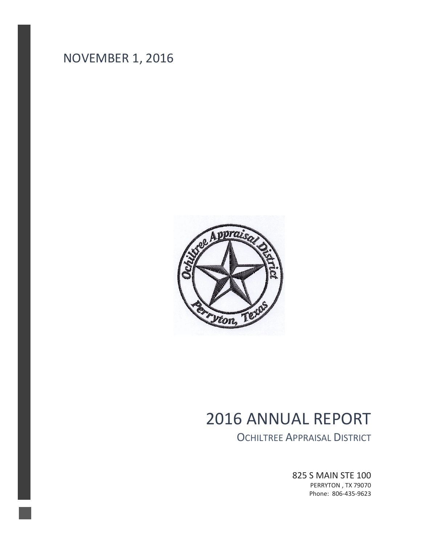



# 2016 ANNUAL REPORT

OCHILTREE APPRAISAL DISTRICT

825 S MAIN STE 100 PERRYTON , TX 79070 Phone: 806-435-9623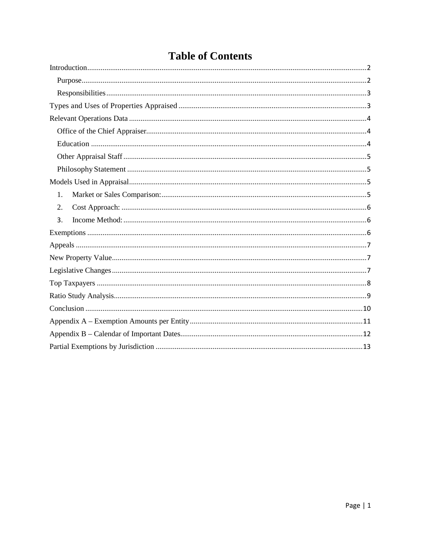| <u>UI CUMULIUS</u> |
|--------------------|
|                    |
|                    |
|                    |
|                    |
|                    |
|                    |
|                    |
|                    |
|                    |
|                    |
| 1.                 |
| 2.                 |
| 3.                 |
|                    |
|                    |
|                    |
|                    |
|                    |
|                    |
|                    |
|                    |

# **Table of Contents**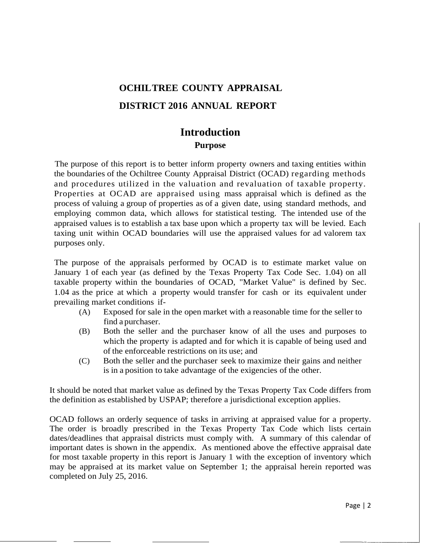# **OCHILTREE COUNTY APPRAISAL DISTRICT 2016 ANNUAL REPORT**

### **Introduction Purpose**

<span id="page-2-1"></span><span id="page-2-0"></span>The purpose of this report is to better inform property owners and taxing entities within the boundaries of the Ochiltree County Appraisal District (OCAD) regarding methods and procedures utilized in the valuation and revaluation of taxable property. Properties at OCAD are appraised using mass appraisal which is defined as the process of valuing a group of properties as of a given date, using standard methods, and employing common data, which allows for statistical testing. The intended use of the appraised values is to establish a tax base upon which a property tax will be levied. Each taxing unit within OCAD boundaries will use the appraised values for ad valorem tax purposes only.

The purpose of the appraisals performed by OCAD is to estimate market value on January 1 of each year (as defined by the Texas Property Tax Code Sec. 1.04) on all taxable property within the boundaries of OCAD, "Market Value" is defined by Sec. 1.04 as the price at which a property would transfer for cash or its equivalent under prevailing market conditions if-

- (A) Exposed for sale in the open market with a reasonable time for the seller to find a purchaser.
- (B) Both the seller and the purchaser know of all the uses and purposes to which the property is adapted and for which it is capable of being used and of the enforceable restrictions on its use; and
- (C) Both the seller and the purchaser seek to maximize their gains and neither is in a position to take advantage of the exigencies of the other.

It should be noted that market value as defined by the Texas Property Tax Code differs from the definition as established by USPAP; therefore a jurisdictional exception applies.

OCAD follows an orderly sequence of tasks in arriving at appraised value for a property. The order is broadly prescribed in the Texas Property Tax Code which lists certain dates/deadlines that appraisal districts must comply with. A summary of this calendar of important dates is shown in the appendix. As mentioned above the effective appraisal date for most taxable property in this report is January 1 with the exception of inventory which may be appraised at its market value on September 1; the appraisal herein reported was completed on July 25, 2016.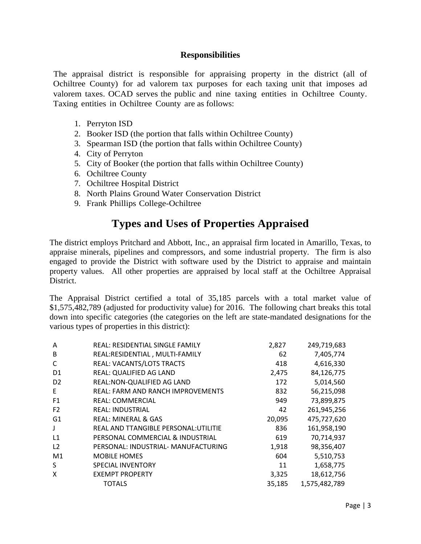### **Responsibilities**

<span id="page-3-0"></span>The appraisal district is responsible for appraising property in the district (all of Ochiltree County) for ad valorem tax purposes for each taxing unit that imposes ad valorem taxes. OCAD serves the public and nine taxing entities in Ochiltree County. Taxing entities in Ochiltree County are as follows:

- 1. Perryton ISD
- 2. Booker ISD (the portion that falls within Ochiltree County)
- 3. Spearman ISD (the portion that falls within Ochiltree County)
- 4. City of Perryton
- 5. City of Booker (the portion that falls within Ochiltree County)
- 6. Ochiltree County
- 7. Ochiltree Hospital District
- 8. North Plains Ground Water Conservation District
- <span id="page-3-1"></span>9. Frank Phillips College-Ochiltree

# **Types and Uses of Properties Appraised**

The district employs Pritchard and Abbott, Inc., an appraisal firm located in Amarillo, Texas, to appraise minerals, pipelines and compressors, and some industrial property. The firm is also engaged to provide the District with software used by the District to appraise and maintain property values. All other properties are appraised by local staff at the Ochiltree Appraisal District.

The Appraisal District certified a total of 35,185 parcels with a total market value of \$1,575,482,789 (adjusted for productivity value) for 2016. The following chart breaks this total down into specific categories (the categories on the left are state-mandated designations for the various types of properties in this district):

| A              | REAL: RESIDENTIAL SINGLE FAMILY          | 2,827  | 249,719,683   |
|----------------|------------------------------------------|--------|---------------|
| B              | REAL:RESIDENTIAL, MULTI-FAMILY           | 62     | 7,405,774     |
| C              | <b>REAL: VACANTS/LOTS TRACTS</b>         | 418    | 4,616,330     |
| D <sub>1</sub> | REAL: QUALIFIED AG LAND                  | 2,475  | 84,126,775    |
| D <sub>2</sub> | REAL: NON-QUALIFIED AG LAND              | 172    | 5,014,560     |
| E              | <b>REAL: FARM AND RANCH IMPROVEMENTS</b> | 832    | 56,215,098    |
| F <sub>1</sub> | <b>REAL: COMMERCIAL</b>                  | 949    | 73,899,875    |
| F <sub>2</sub> | <b>REAL: INDUSTRIAL</b>                  | 42     | 261,945,256   |
| G1             | REAL: MINERAL & GAS                      | 20,095 | 475,727,620   |
| J              | REAL AND TTANGIBLE PERSONAL: UTILITIE    | 836    | 161,958,190   |
| L1             | PERSONAL COMMERCIAL & INDUSTRIAL         | 619    | 70,714,937    |
| L <sub>2</sub> | PERSONAL: INDUSTRIAL- MANUFACTURING      | 1,918  | 98,356,407    |
| M1             | MOBILE HOMES                             | 604    | 5,510,753     |
| S              | <b>SPECIAL INVENTORY</b>                 | 11     | 1,658,775     |
| X              | <b>EXEMPT PROPERTY</b>                   | 3,325  | 18,612,756    |
|                | <b>TOTALS</b>                            | 35,185 | 1,575,482,789 |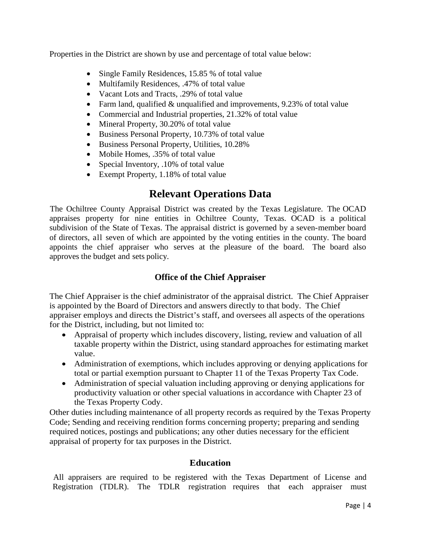Properties in the District are shown by use and percentage of total value below:

- Single Family Residences, 15.85 % of total value
- Multifamily Residences, .47% of total value
- Vacant Lots and Tracts, .29% of total value
- Farm land, qualified & unqualified and improvements, 9.23% of total value
- Commercial and Industrial properties, 21.32% of total value
- Mineral Property, 30.20% of total value
- Business Personal Property, 10.73% of total value
- Business Personal Property, Utilities, 10.28%
- Mobile Homes, .35% of total value
- Special Inventory, .10% of total value
- Exempt Property, 1.18% of total value

# **Relevant Operations Data**

<span id="page-4-0"></span>The Ochiltree County Appraisal District was created by the Texas Legislature. The OCAD appraises property for nine entities in Ochiltree County, Texas. OCAD is a political subdivision of the State of Texas. The appraisal district is governed by a seven-member board of directors, all seven of which are appointed by the voting entities in the county. The board appoints the chief appraiser who serves at the pleasure of the board. The board also approves the budget and sets policy.

### **Office of the Chief Appraiser**

<span id="page-4-1"></span>The Chief Appraiser is the chief administrator of the appraisal district. The Chief Appraiser is appointed by the Board of Directors and answers directly to that body. The Chief appraiser employs and directs the District's staff, and oversees all aspects of the operations for the District, including, but not limited to:

- Appraisal of property which includes discovery, listing, review and valuation of all taxable property within the District, using standard approaches for estimating market value.
- Administration of exemptions, which includes approving or denying applications for total or partial exemption pursuant to Chapter 11 of the Texas Property Tax Code.
- Administration of special valuation including approving or denying applications for productivity valuation or other special valuations in accordance with Chapter 23 of the Texas Property Cody.

Other duties including maintenance of all property records as required by the Texas Property Code; Sending and receiving rendition forms concerning property; preparing and sending required notices, postings and publications; any other duties necessary for the efficient appraisal of property for tax purposes in the District.

### **Education**

<span id="page-4-2"></span>All appraisers are required to be registered with the Texas Department of License and Registration (TDLR). The TDLR registration requires that each appraiser must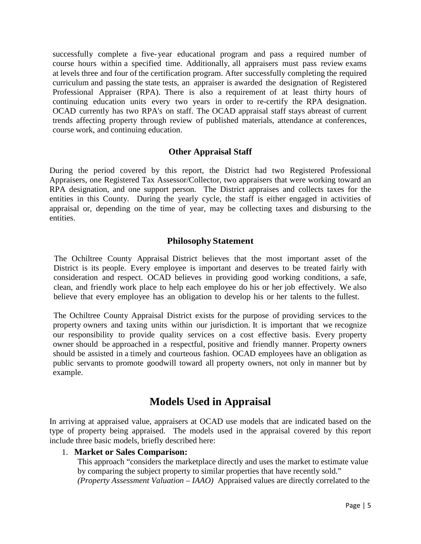successfully complete a five- year educational program and pass a required number of course hours within a specified time. Additionally, all appraisers must pass review exams at levels three and four of the certification program. After successfully completing the required curriculum and passing the state tests, an appraiser is awarded the designation of Registered Professional Appraiser (RPA). There is also a requirement of at least thirty hours of continuing education units every two years in order to re-certify the RPA designation. OCAD currently has two RPA's on staff. The OCAD appraisal staff stays abreast of current trends affecting property through review of published materials, attendance at conferences, course work, and continuing education.

### **Other Appraisal Staff**

<span id="page-5-0"></span>During the period covered by this report, the District had two Registered Professional Appraisers, one Registered Tax Assessor/Collector, two appraisers that were working toward an RPA designation, and one support person. The District appraises and collects taxes for the entities in this County. During the yearly cycle, the staff is either engaged in activities of appraisal or, depending on the time of year, may be collecting taxes and disbursing to the entities.

#### **Philosophy Statement**

<span id="page-5-1"></span>The Ochiltree County Appraisal District believes that the most important asset of the District is its people. Every employee is important and deserves to be treated fairly with consideration and respect. OCAD believes in providing good working conditions, a safe, clean, and friendly work place to help each employee do his or her job effectively. We also believe that every employee has an obligation to develop his or her talents to the fullest.

The Ochiltree County Appraisal District exists for the purpose of providing services to the property owners and taxing units within our jurisdiction. It is important that we recognize our responsibility to provide quality services on a cost effective basis. Every property owner should be approached in a respectful, positive and friendly manner. Property owners should be assisted in a timely and courteous fashion. OCAD employees have an obligation as public servants to promote goodwill toward all property owners, not only in manner but by example.

## **Models Used in Appraisal**

<span id="page-5-2"></span>In arriving at appraised value, appraisers at OCAD use models that are indicated based on the type of property being appraised. The models used in the appraisal covered by this report include three basic models, briefly described here:

#### <span id="page-5-3"></span>1. **Market or Sales Comparison:**

This approach "considers the marketplace directly and uses the market to estimate value by comparing the subject property to similar properties that have recently sold." *(Property Assessment Valuation – IAAO)* Appraised values are directly correlated to the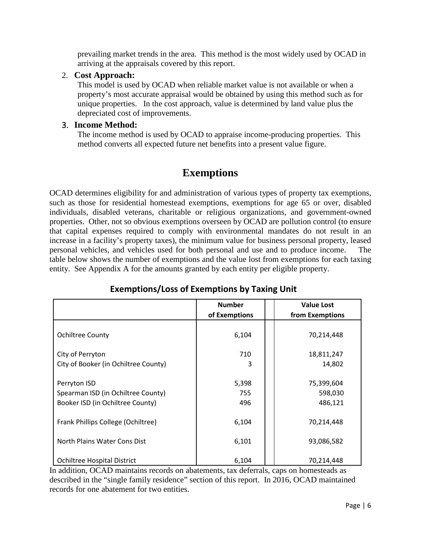prevailing market trends in the area. This method is the most widely used by OCAD in arriving at the appraisals covered by this report.

### <span id="page-6-0"></span>2. **Cost Approach:**

This model is used by OCAD when reliable market value is not available or when a property's most accurate appraisal would be obtained by using this method such as for unique properties. In the cost approach, value is determined by land value plus the depreciated cost of improvements.

### <span id="page-6-1"></span>3. **Income Method:**

The income method is used by OCAD to appraise income-producing properties. This method converts all expected future net benefits into a present value figure.

# **Exemptions**

<span id="page-6-2"></span>OCAD determines eligibility for and administration of various types of property tax exemptions, such as those for residential homestead exemptions, exemptions for age 65 or over, disabled individuals, disabled veterans, charitable or religious organizations, and government-owned properties. Other, not so obvious exemptions overseen by OCAD are pollution control (to ensure that capital expenses required to comply with environmental mandates do not result in an increase in a facility's property taxes), the minimum value for business personal property, leased personal vehicles, and vehicles used for both personal and use and to produce income. The table below shows the number of exemptions and the value lost from exemptions for each taxing entity. See Appendix A for the amounts granted by each entity per eligible property.

|                                      | <b>Number</b> | <b>Value Lost</b> |
|--------------------------------------|---------------|-------------------|
|                                      | of Exemptions | from Exemptions   |
|                                      |               |                   |
| <b>Ochiltree County</b>              | 6,104         | 70,214,448        |
|                                      |               |                   |
| City of Perryton                     | 710           | 18,811,247        |
| City of Booker (in Ochiltree County) | 3             | 14,802            |
|                                      |               |                   |
| Perryton ISD                         | 5,398         | 75,399,604        |
| Spearman ISD (in Ochiltree County)   | 755           | 598,030           |
| Booker ISD (in Ochiltree County)     | 496           | 486,121           |
|                                      |               |                   |
| Frank Phillips College (Ochiltree)   | 6,104         | 70,214,448        |
|                                      |               |                   |
| North Plains Water Cons Dist         | 6,101         | 93,086,582        |
|                                      |               |                   |
| <b>Ochiltree Hospital District</b>   | 6,104         | 70,214,448        |

### **Exemptions/Loss of Exemptions by Taxing Unit**

In addition, OCAD maintains records on abatements, tax deferrals, caps on homesteads as described in the "single family residence" section of this report. In 2016, OCAD maintained records for one abatement for two entities.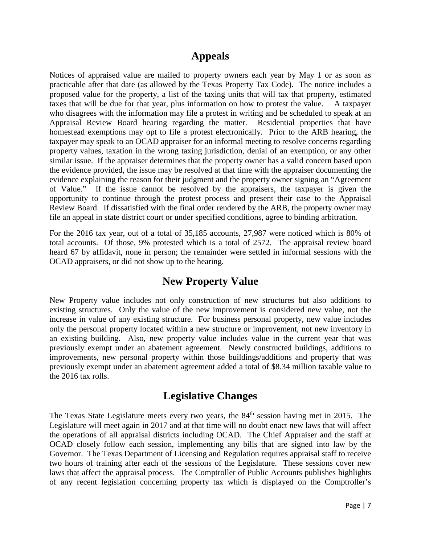### **Appeals**

<span id="page-7-0"></span>Notices of appraised value are mailed to property owners each year by May 1 or as soon as practicable after that date (as allowed by the Texas Property Tax Code). The notice includes a proposed value for the property, a list of the taxing units that will tax that property, estimated taxes that will be due for that year, plus information on how to protest the value. A taxpayer who disagrees with the information may file a protest in writing and be scheduled to speak at an Appraisal Review Board hearing regarding the matter. Residential properties that have homestead exemptions may opt to file a protest electronically. Prior to the ARB hearing, the taxpayer may speak to an OCAD appraiser for an informal meeting to resolve concerns regarding property values, taxation in the wrong taxing jurisdiction, denial of an exemption, or any other similar issue. If the appraiser determines that the property owner has a valid concern based upon the evidence provided, the issue may be resolved at that time with the appraiser documenting the evidence explaining the reason for their judgment and the property owner signing an "Agreement of Value." If the issue cannot be resolved by the appraisers, the taxpayer is given the opportunity to continue through the protest process and present their case to the Appraisal Review Board. If dissatisfied with the final order rendered by the ARB, the property owner may file an appeal in state district court or under specified conditions, agree to binding arbitration.

For the 2016 tax year, out of a total of 35,185 accounts, 27,987 were noticed which is 80% of total accounts. Of those, 9% protested which is a total of 2572. The appraisal review board heard 67 by affidavit, none in person; the remainder were settled in informal sessions with the OCAD appraisers, or did not show up to the hearing.

### **New Property Value**

<span id="page-7-1"></span>New Property value includes not only construction of new structures but also additions to existing structures. Only the value of the new improvement is considered new value, not the increase in value of any existing structure. For business personal property, new value includes only the personal property located within a new structure or improvement, not new inventory in an existing building. Also, new property value includes value in the current year that was previously exempt under an abatement agreement. Newly constructed buildings, additions to improvements, new personal property within those buildings/additions and property that was previously exempt under an abatement agreement added a total of \$8.34 million taxable value to the 2016 tax rolls.

## **Legislative Changes**

<span id="page-7-2"></span>The Texas State Legislature meets every two years, the 84<sup>th</sup> session having met in 2015. The Legislature will meet again in 2017 and at that time will no doubt enact new laws that will affect the operations of all appraisal districts including OCAD. The Chief Appraiser and the staff at OCAD closely follow each session, implementing any bills that are signed into law by the Governor. The Texas Department of Licensing and Regulation requires appraisal staff to receive two hours of training after each of the sessions of the Legislature. These sessions cover new laws that affect the appraisal process. The Comptroller of Public Accounts publishes highlights of any recent legislation concerning property tax which is displayed on the Comptroller's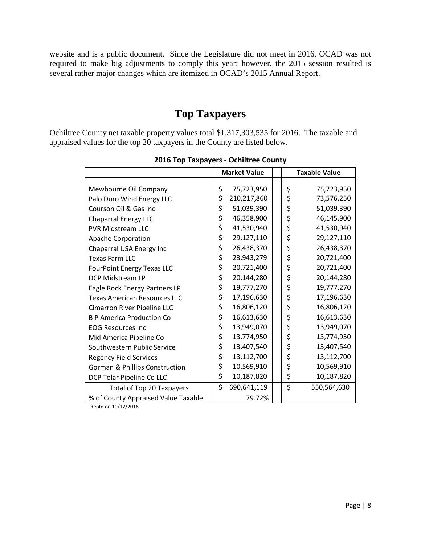website and is a public document. Since the Legislature did not meet in 2016, OCAD was not required to make big adjustments to comply this year; however, the 2015 session resulted is several rather major changes which are itemized in OCAD's 2015 Annual Report.

## **Top Taxpayers**

<span id="page-8-0"></span>Ochiltree County net taxable property values total \$1,317,303,535 for 2016. The taxable and appraised values for the top 20 taxpayers in the County are listed below.

|                                           | <b>Market Value</b> |             | <b>Taxable Value</b> |             |
|-------------------------------------------|---------------------|-------------|----------------------|-------------|
|                                           |                     |             |                      |             |
| Mewbourne Oil Company                     | \$                  | 75,723,950  | \$                   | 75,723,950  |
| Palo Duro Wind Energy LLC                 | \$                  | 210,217,860 | \$                   | 73,576,250  |
| Courson Oil & Gas Inc                     | \$                  | 51,039,390  | \$                   | 51,039,390  |
| <b>Chaparral Energy LLC</b>               | \$                  | 46,358,900  | \$                   | 46,145,900  |
| <b>PVR Midstream LLC</b>                  | \$                  | 41,530,940  | \$                   | 41,530,940  |
| Apache Corporation                        | \$                  | 29,127,110  | \$                   | 29,127,110  |
| Chaparral USA Energy Inc                  | \$                  | 26,438,370  | \$                   | 26,438,370  |
| <b>Texas Farm LLC</b>                     | \$                  | 23,943,279  | \$                   | 20,721,400  |
| <b>FourPoint Energy Texas LLC</b>         | \$                  | 20,721,400  | \$                   | 20,721,400  |
| DCP Midstream LP                          | \$                  | 20,144,280  | \$                   | 20,144,280  |
| Eagle Rock Energy Partners LP             | \$                  | 19,777,270  | \$                   | 19,777,270  |
| <b>Texas American Resources LLC</b>       | \$                  | 17,196,630  | \$                   | 17,196,630  |
| Cimarron River Pipeline LLC               | \$                  | 16,806,120  | \$                   | 16,806,120  |
| <b>B P America Production Co</b>          | \$                  | 16,613,630  | \$                   | 16,613,630  |
| <b>EOG Resources Inc</b>                  | \$                  | 13,949,070  | \$                   | 13,949,070  |
| Mid America Pipeline Co                   | \$                  | 13,774,950  | \$                   | 13,774,950  |
| Southwestern Public Service               | \$                  | 13,407,540  | \$                   | 13,407,540  |
| <b>Regency Field Services</b>             | \$                  | 13,112,700  | \$                   | 13,112,700  |
| <b>Gorman &amp; Phillips Construction</b> | \$                  | 10,569,910  | \$                   | 10,569,910  |
| DCP Tolar Pipeline Co LLC                 | \$                  | 10,187,820  | \$                   | 10,187,820  |
| Total of Top 20 Taxpayers                 | \$                  | 690,641,119 | \$                   | 550,564,630 |
| % of County Appraised Value Taxable       |                     | 79.72%      |                      |             |

**2016 Top Taxpayers - Ochiltree County**

Reptd on 10/12/2016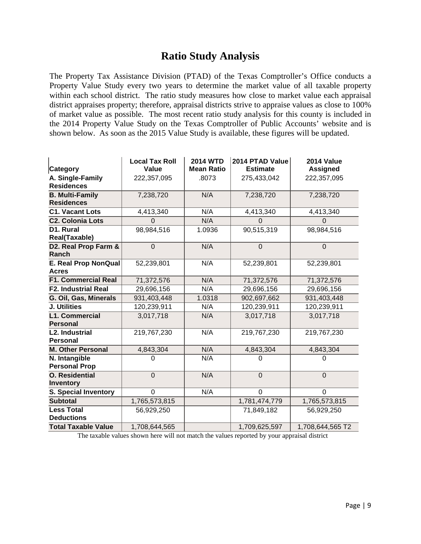# **Ratio Study Analysis**

<span id="page-9-0"></span>The Property Tax Assistance Division (PTAD) of the Texas Comptroller's Office conducts a Property Value Study every two years to determine the market value of all taxable property within each school district. The ratio study measures how close to market value each appraisal district appraises property; therefore, appraisal districts strive to appraise values as close to 100% of market value as possible. The most recent ratio study analysis for this county is included in the 2014 Property Value Study on the Texas Comptroller of Public Accounts' website and is shown below. As soon as the 2015 Value Study is available, these figures will be updated.

|                             | <b>Local Tax Roll</b> | <b>2014 WTD</b>   | 2014 PTAD Value | 2014 Value       |
|-----------------------------|-----------------------|-------------------|-----------------|------------------|
| <b>Category</b>             | Value                 | <b>Mean Ratio</b> | <b>Estimate</b> | <b>Assigned</b>  |
| A. Single-Family            | 222,357,095           | .8073             | 275,433,042     | 222,357,095      |
| <b>Residences</b>           |                       |                   |                 |                  |
| <b>B. Multi-Family</b>      | 7,238,720             | N/A               | 7,238,720       | 7,238,720        |
| <b>Residences</b>           |                       |                   |                 |                  |
| <b>C1. Vacant Lots</b>      | 4,413,340             | N/A               | 4,413,340       | 4,413,340        |
| <b>C2. Colonia Lots</b>     | $\overline{0}$        | N/A               | $\Omega$        | $\Omega$         |
| D1. Rural                   | 98,984,516            | 1.0936            | 90,515,319      | 98,984,516       |
| Real(Taxable)               |                       |                   |                 |                  |
| D2. Real Prop Farm &        | $\overline{0}$        | N/A               | $\mathbf 0$     | $\overline{0}$   |
| Ranch                       |                       |                   |                 |                  |
| E. Real Prop NonQual        | 52,239,801            | N/A               | 52,239,801      | 52,239,801       |
| <b>Acres</b>                |                       |                   |                 |                  |
| <b>F1. Commercial Real</b>  | 71,372,576            | N/A               | 71,372,576      | 71,372,576       |
| <b>F2. Industrial Real</b>  | 29,696,156            | N/A               | 29,696,156      | 29,696,156       |
| G. Oil, Gas, Minerals       | 931,403,448           | 1.0318            | 902,697,662     | 931,403,448      |
| J. Utilities                | 120,239,911           | N/A               | 120,239,911     | 120,239,911      |
| <b>L1. Commercial</b>       | 3,017,718             | N/A               | 3,017,718       | 3,017,718        |
| <b>Personal</b>             |                       |                   |                 |                  |
| <b>L2. Industrial</b>       | 219,767,230           | N/A               | 219,767,230     | 219,767,230      |
| <b>Personal</b>             |                       |                   |                 |                  |
| <b>M. Other Personal</b>    | 4,843,304             | N/A               | 4,843,304       | 4,843,304        |
| N. Intangible               | ი                     | N/A               | O               | 0                |
| <b>Personal Prop</b>        |                       |                   |                 |                  |
| <b>O.</b> Residential       | $\overline{0}$        | N/A               | $\overline{0}$  | $\overline{0}$   |
| <b>Inventory</b>            |                       |                   |                 |                  |
| <b>S. Special Inventory</b> | $\overline{0}$        | N/A               | $\Omega$        | $\Omega$         |
| <b>Subtotal</b>             | 1,765,573,815         |                   | 1,781,474,779   | 1,765,573,815    |
| <b>Less Total</b>           | 56,929,250            |                   | 71,849,182      | 56,929,250       |
| <b>Deductions</b>           |                       |                   |                 |                  |
| <b>Total Taxable Value</b>  | 1,708,644,565         |                   | 1,709,625,597   | 1,708,644,565 T2 |

The taxable values shown here will not match the values reported by your appraisal district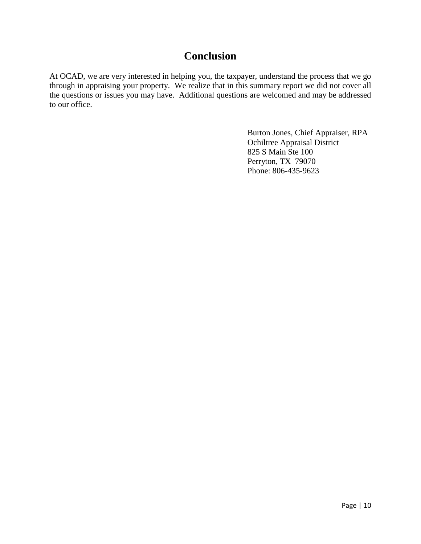## **Conclusion**

<span id="page-10-0"></span>At OCAD, we are very interested in helping you, the taxpayer, understand the process that we go through in appraising your property. We realize that in this summary report we did not cover all the questions or issues you may have. Additional questions are welcomed and may be addressed to our office.

> Burton Jones, Chief Appraiser, RPA Ochiltree Appraisal District 825 S Main Ste 100 Perryton, TX 79070 Phone: 806-435-9623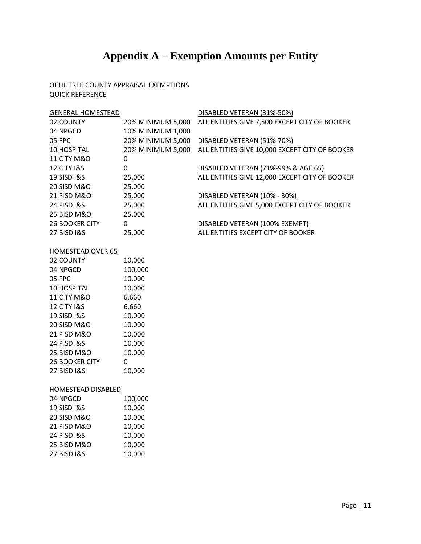# **Appendix A – Exemption Amounts per Entity**

#### <span id="page-11-0"></span>OCHILTREE COUNTY APPRAISAL EXEMPTIONS QUICK REFERENCE

| <b>GENERAL HOMESTEAD</b> |                   | DISABLED VETERAN (31%-50%)                     |
|--------------------------|-------------------|------------------------------------------------|
| 02 COUNTY                | 20% MINIMUM 5.000 | ALL ENTITIES GIVE 7,500 EXCEPT CITY OF BOOKER  |
| 04 NPGCD                 | 10% MINIMUM 1,000 |                                                |
| 05 FPC                   | 20% MINIMUM 5,000 | DISABLED VETERAN (51%-70%)                     |
| 10 HOSPITAL              | 20% MINIMUM 5,000 | ALL ENTITIES GIVE 10,000 EXCEPT CITY OF BOOKER |
| <b>11 CITY M&amp;O</b>   | 0                 |                                                |
| <b>12 CITY I&amp;S</b>   | 0                 | DISABLED VETERAN (71%-99% & AGE 65)            |
| <b>19 SISD I&amp;S</b>   | 25,000            | ALL ENTITIES GIVE 12,000 EXCEPT CITY OF BOOKER |
| 20 SISD M&O              | 25,000            |                                                |
| 21 PISD M&O              | 25,000            | DISABLED VETERAN (10% - 30%)                   |
| <b>24 PISD I&amp;S</b>   | 25,000            | ALL ENTITIES GIVE 5,000 EXCEPT CITY OF BOOKER  |
| 25 BISD M&O              | 25,000            |                                                |
| <b>26 BOOKER CITY</b>    | $\Omega$          | DISABLED VETERAN (100% EXEMPT)                 |
| <b>27 BISD I&amp;S</b>   | 25,000            | ALL ENTITIES EXCEPT CITY OF BOOKER             |
|                          |                   |                                                |

#### HOMESTEAD OVER 65

| 02 COUNTY              | 10,000  |
|------------------------|---------|
| 04 NPGCD               | 100,000 |
| 05 FPC                 | 10,000  |
| 10 HOSPITAL            | 10,000  |
| <b>11 CITY M&amp;O</b> | 6,660   |
| <b>12 CITY I&amp;S</b> | 6,660   |
| 19 SISD I&S            | 10,000  |
| 20 SISD M&O            | 10,000  |
| 21 PISD M&O            | 10,000  |
| <b>24 PISD I&amp;S</b> | 10,000  |
| 25 BISD M&O            | 10,000  |
| <b>26 BOOKER CITY</b>  | ი       |
| 27 BISD I&S            | 10,000  |

#### HOMESTEAD DISABLED

| 04 NPGCD               | 100,000 |
|------------------------|---------|
| 19 SISD I&S            | 10,000  |
| 20 SISD M&O            | 10,000  |
| 21 PISD M&O            | 10,000  |
| <b>24 PISD I&amp;S</b> | 10,000  |
| 25 BISD M&O            | 10,000  |
| <b>27 BISD I&amp;S</b> | 10,000  |
|                        |         |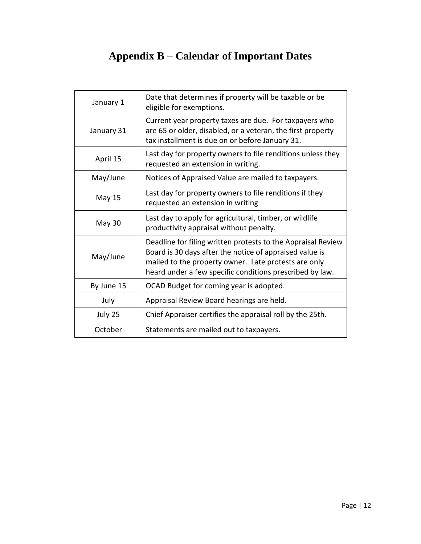# **Appendix B – Calendar of Important Dates**

<span id="page-12-0"></span>

| January 1     | Date that determines if property will be taxable or be<br>eligible for exemptions.                                                                                                                                                          |
|---------------|---------------------------------------------------------------------------------------------------------------------------------------------------------------------------------------------------------------------------------------------|
| January 31    | Current year property taxes are due. For taxpayers who<br>are 65 or older, disabled, or a veteran, the first property<br>tax installment is due on or before January 31.                                                                    |
| April 15      | Last day for property owners to file renditions unless they<br>requested an extension in writing.                                                                                                                                           |
| May/June      | Notices of Appraised Value are mailed to taxpayers.                                                                                                                                                                                         |
| May 15        | Last day for property owners to file renditions if they<br>requested an extension in writing                                                                                                                                                |
| <b>May 30</b> | Last day to apply for agricultural, timber, or wildlife<br>productivity appraisal without penalty.                                                                                                                                          |
| May/June      | Deadline for filing written protests to the Appraisal Review<br>Board is 30 days after the notice of appraised value is<br>mailed to the property owner. Late protests are only<br>heard under a few specific conditions prescribed by law. |
| By June 15    | OCAD Budget for coming year is adopted.                                                                                                                                                                                                     |
| July          | Appraisal Review Board hearings are held.                                                                                                                                                                                                   |
| July 25       | Chief Appraiser certifies the appraisal roll by the 25th.                                                                                                                                                                                   |
| October       | Statements are mailed out to taxpayers.                                                                                                                                                                                                     |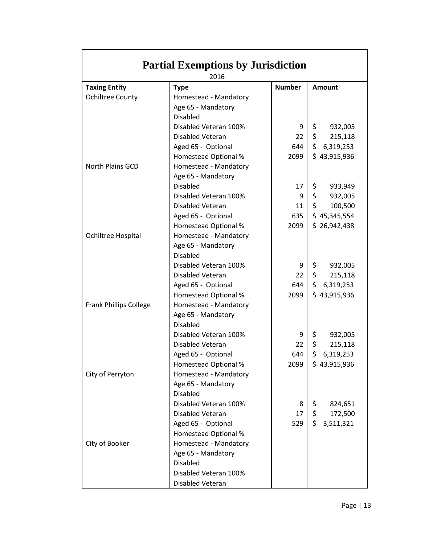| <b>Partial Exemptions by Jurisdiction</b> |                             |                 |                                |  |  |  |
|-------------------------------------------|-----------------------------|-----------------|--------------------------------|--|--|--|
| 2016                                      |                             |                 |                                |  |  |  |
| <b>Taxing Entity</b>                      | <b>Type</b>                 | <b>Number</b>   | <b>Amount</b>                  |  |  |  |
| <b>Ochiltree County</b>                   | Homestead - Mandatory       |                 |                                |  |  |  |
|                                           | Age 65 - Mandatory          |                 |                                |  |  |  |
|                                           | <b>Disabled</b>             |                 |                                |  |  |  |
|                                           | Disabled Veteran 100%       | 9               | \$<br>932,005                  |  |  |  |
|                                           | Disabled Veteran            | 22              | $\ddot{\mathsf{S}}$<br>215,118 |  |  |  |
|                                           | Aged 65 - Optional          | 644             | \$6,319,253                    |  |  |  |
|                                           | <b>Homestead Optional %</b> | 2099            | \$43,915,936                   |  |  |  |
| North Plains GCD                          | Homestead - Mandatory       |                 |                                |  |  |  |
|                                           | Age 65 - Mandatory          |                 |                                |  |  |  |
|                                           | <b>Disabled</b>             | 17              | \$<br>933,949                  |  |  |  |
|                                           | Disabled Veteran 100%       | 9               | \$<br>932,005                  |  |  |  |
|                                           | Disabled Veteran            | 11              | $\zeta$<br>100,500             |  |  |  |
|                                           | Aged 65 - Optional          | 635             | \$45,345,554                   |  |  |  |
|                                           | <b>Homestead Optional %</b> | 2099            | \$26,942,438                   |  |  |  |
| Ochiltree Hospital                        | Homestead - Mandatory       |                 |                                |  |  |  |
|                                           | Age 65 - Mandatory          |                 |                                |  |  |  |
|                                           | <b>Disabled</b>             |                 |                                |  |  |  |
|                                           | Disabled Veteran 100%       | 9               | \$<br>932,005                  |  |  |  |
|                                           | Disabled Veteran            | 22 <sub>2</sub> | \$<br>215,118                  |  |  |  |
|                                           | Aged 65 - Optional          | 644             | \$6,319,253                    |  |  |  |
|                                           | <b>Homestead Optional %</b> | 2099            | \$43,915,936                   |  |  |  |
| <b>Frank Phillips College</b>             | Homestead - Mandatory       |                 |                                |  |  |  |
|                                           | Age 65 - Mandatory          |                 |                                |  |  |  |
|                                           | <b>Disabled</b>             |                 |                                |  |  |  |
|                                           | Disabled Veteran 100%       | 9               | \$<br>932,005                  |  |  |  |
|                                           | Disabled Veteran            | 22              | \$<br>215,118                  |  |  |  |
|                                           | Aged 65 - Optional          | 644             | \$<br>6,319,253                |  |  |  |
|                                           | Homestead Optional %        | 2099            | \$43,915,936                   |  |  |  |
| City of Perryton                          | Homestead - Mandatory       |                 |                                |  |  |  |
|                                           | Age 65 - Mandatory          |                 |                                |  |  |  |
|                                           | <b>Disabled</b>             |                 |                                |  |  |  |
|                                           | Disabled Veteran 100%       | 8               | \$<br>824,651                  |  |  |  |
|                                           | Disabled Veteran            | 17              | \$.<br>172,500                 |  |  |  |
|                                           | Aged 65 - Optional          | 529             | \$.<br>3,511,321               |  |  |  |
|                                           | <b>Homestead Optional %</b> |                 |                                |  |  |  |
| City of Booker                            | Homestead - Mandatory       |                 |                                |  |  |  |
|                                           | Age 65 - Mandatory          |                 |                                |  |  |  |
|                                           | <b>Disabled</b>             |                 |                                |  |  |  |
|                                           | Disabled Veteran 100%       |                 |                                |  |  |  |
|                                           | Disabled Veteran            |                 |                                |  |  |  |

<span id="page-13-0"></span>Г